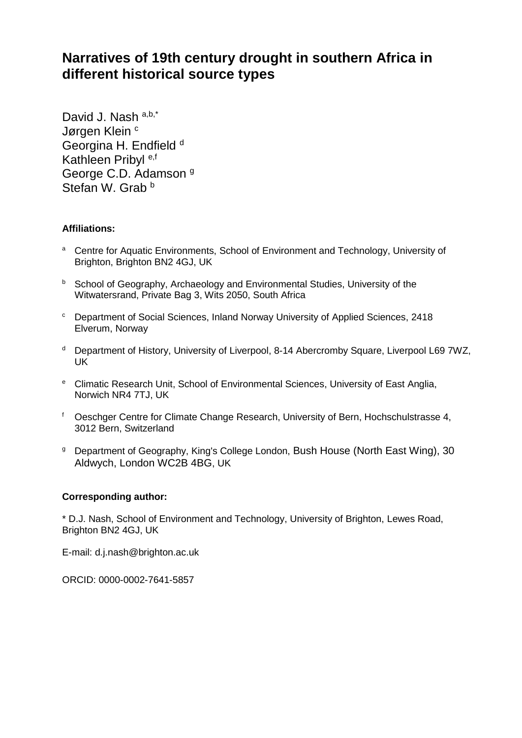# **Narratives of 19th century drought in southern Africa in different historical source types**

David J. Nash a,b,\* Jørgen Klein<sup>c</sup> Georgina H. Endfield d Kathleen Pribyl e,f George C.D. Adamson<sup>9</sup> Stefan W. Grab b

### **Affiliations:**

- <sup>a</sup> Centre for Aquatic Environments, School of Environment and Technology, University of Brighton, Brighton BN2 4GJ, UK
- **b** School of Geography, Archaeology and Environmental Studies, University of the Witwatersrand, Private Bag 3, Wits 2050, South Africa
- <sup>c</sup> Department of Social Sciences, Inland Norway University of Applied Sciences, 2418 Elverum, Norway
- <sup>d</sup> Department of History, University of Liverpool, 8-14 Abercromby Square, Liverpool L69 7WZ, UK
- <sup>e</sup> Climatic Research Unit, School of Environmental Sciences, University of East Anglia, Norwich NR4 7TJ, UK
- <sup>f</sup> Oeschger Centre for Climate Change Research, University of Bern, Hochschulstrasse 4, 3012 Bern, Switzerland
- <sup>g</sup> Department of Geography, King's College London, Bush House (North East Wing), 30 Aldwych, London WC2B 4BG, UK

#### **Corresponding author:**

\* D.J. Nash, School of Environment and Technology, University of Brighton, Lewes Road, Brighton BN2 4GJ, UK

E-mail: d.j.nash@brighton.ac.uk

ORCID: 0000-0002-7641-5857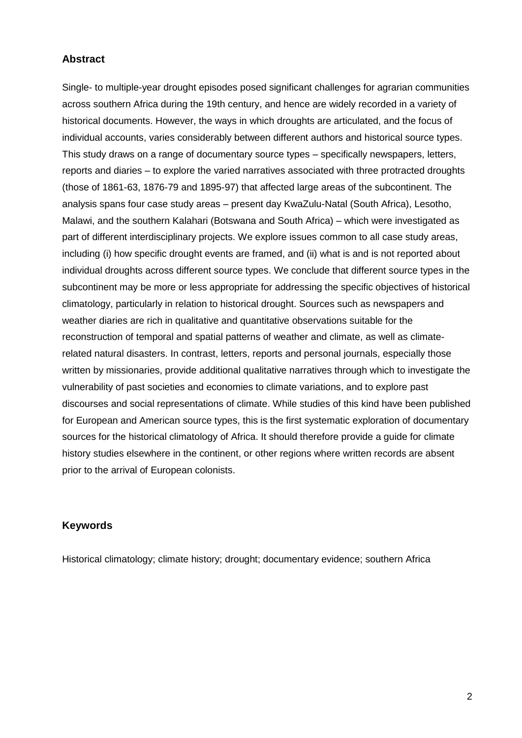#### **Abstract**

Single- to multiple-year drought episodes posed significant challenges for agrarian communities across southern Africa during the 19th century, and hence are widely recorded in a variety of historical documents. However, the ways in which droughts are articulated, and the focus of individual accounts, varies considerably between different authors and historical source types. This study draws on a range of documentary source types – specifically newspapers, letters, reports and diaries – to explore the varied narratives associated with three protracted droughts (those of 1861-63, 1876-79 and 1895-97) that affected large areas of the subcontinent. The analysis spans four case study areas – present day KwaZulu-Natal (South Africa), Lesotho, Malawi, and the southern Kalahari (Botswana and South Africa) – which were investigated as part of different interdisciplinary projects. We explore issues common to all case study areas, including (i) how specific drought events are framed, and (ii) what is and is not reported about individual droughts across different source types. We conclude that different source types in the subcontinent may be more or less appropriate for addressing the specific objectives of historical climatology, particularly in relation to historical drought. Sources such as newspapers and weather diaries are rich in qualitative and quantitative observations suitable for the reconstruction of temporal and spatial patterns of weather and climate, as well as climaterelated natural disasters. In contrast, letters, reports and personal journals, especially those written by missionaries, provide additional qualitative narratives through which to investigate the vulnerability of past societies and economies to climate variations, and to explore past discourses and social representations of climate. While studies of this kind have been published for European and American source types, this is the first systematic exploration of documentary sources for the historical climatology of Africa. It should therefore provide a guide for climate history studies elsewhere in the continent, or other regions where written records are absent prior to the arrival of European colonists.

#### **Keywords**

Historical climatology; climate history; drought; documentary evidence; southern Africa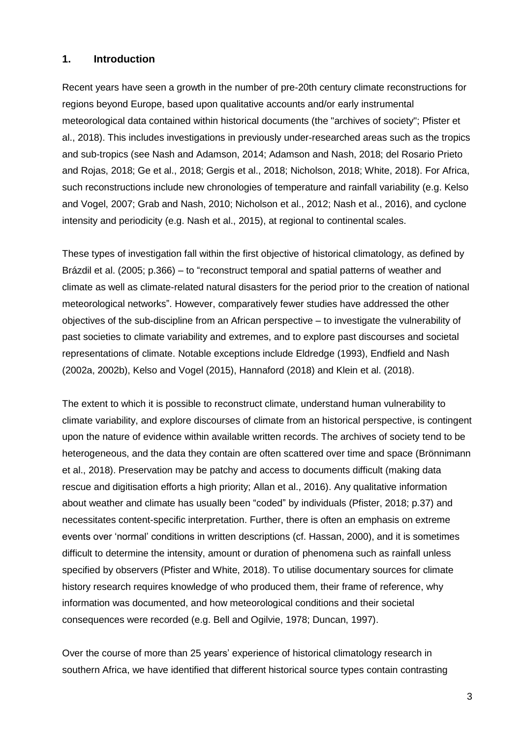#### **1. Introduction**

Recent years have seen a growth in the number of pre-20th century climate reconstructions for regions beyond Europe, based upon qualitative accounts and/or early instrumental meteorological data contained within historical documents (the "archives of society"; Pfister et al., 2018). This includes investigations in previously under-researched areas such as the tropics and sub-tropics (see Nash and Adamson, 2014; Adamson and Nash, 2018; del Rosario Prieto and Rojas, 2018; Ge et al., 2018; Gergis et al., 2018; Nicholson, 2018; White, 2018). For Africa, such reconstructions include new chronologies of temperature and rainfall variability (e.g. Kelso and Vogel, 2007; Grab and Nash, 2010; Nicholson et al., 2012; Nash et al., 2016), and cyclone intensity and periodicity (e.g. Nash et al., 2015), at regional to continental scales.

These types of investigation fall within the first objective of historical climatology, as defined by Brázdil et al. (2005; p.366) – to "reconstruct temporal and spatial patterns of weather and climate as well as climate-related natural disasters for the period prior to the creation of national meteorological networks". However, comparatively fewer studies have addressed the other objectives of the sub-discipline from an African perspective – to investigate the vulnerability of past societies to climate variability and extremes, and to explore past discourses and societal representations of climate. Notable exceptions include Eldredge (1993), Endfield and Nash (2002a, 2002b), Kelso and Vogel (2015), Hannaford (2018) and Klein et al. (2018).

The extent to which it is possible to reconstruct climate, understand human vulnerability to climate variability, and explore discourses of climate from an historical perspective, is contingent upon the nature of evidence within available written records. The archives of society tend to be heterogeneous, and the data they contain are often scattered over time and space (Brönnimann et al., 2018). Preservation may be patchy and access to documents difficult (making data rescue and digitisation efforts a high priority; Allan et al., 2016). Any qualitative information about weather and climate has usually been "coded" by individuals (Pfister, 2018; p.37) and necessitates content-specific interpretation. Further, there is often an emphasis on extreme events over 'normal' conditions in written descriptions (cf. Hassan, 2000), and it is sometimes difficult to determine the intensity, amount or duration of phenomena such as rainfall unless specified by observers (Pfister and White, 2018). To utilise documentary sources for climate history research requires knowledge of who produced them, their frame of reference, why information was documented, and how meteorological conditions and their societal consequences were recorded (e.g. Bell and Ogilvie, 1978; Duncan, 1997).

Over the course of more than 25 years' experience of historical climatology research in southern Africa, we have identified that different historical source types contain contrasting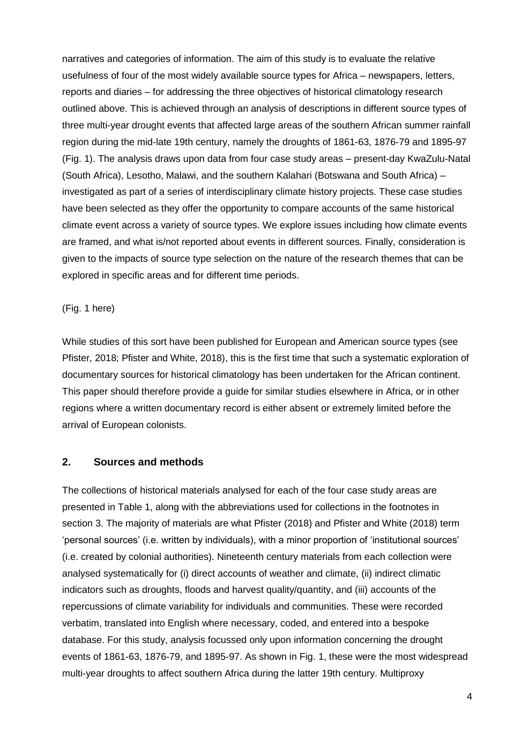narratives and categories of information. The aim of this study is to evaluate the relative usefulness of four of the most widely available source types for Africa – newspapers, letters, reports and diaries – for addressing the three objectives of historical climatology research outlined above. This is achieved through an analysis of descriptions in different source types of three multi-year drought events that affected large areas of the southern African summer rainfall region during the mid-late 19th century, namely the droughts of 1861-63, 1876-79 and 1895-97 (Fig. 1). The analysis draws upon data from four case study areas – present-day KwaZulu-Natal (South Africa), Lesotho, Malawi, and the southern Kalahari (Botswana and South Africa) – investigated as part of a series of interdisciplinary climate history projects. These case studies have been selected as they offer the opportunity to compare accounts of the same historical climate event across a variety of source types. We explore issues including how climate events are framed, and what is/not reported about events in different sources. Finally, consideration is given to the impacts of source type selection on the nature of the research themes that can be explored in specific areas and for different time periods.

(Fig. 1 here)

While studies of this sort have been published for European and American source types (see Pfister, 2018; Pfister and White, 2018), this is the first time that such a systematic exploration of documentary sources for historical climatology has been undertaken for the African continent. This paper should therefore provide a guide for similar studies elsewhere in Africa, or in other regions where a written documentary record is either absent or extremely limited before the arrival of European colonists.

### **2. Sources and methods**

The collections of historical materials analysed for each of the four case study areas are presented in Table 1, along with the abbreviations used for collections in the footnotes in section 3. The majority of materials are what Pfister (2018) and Pfister and White (2018) term 'personal sources' (i.e. written by individuals), with a minor proportion of 'institutional sources' (i.e. created by colonial authorities). Nineteenth century materials from each collection were analysed systematically for (i) direct accounts of weather and climate, (ii) indirect climatic indicators such as droughts, floods and harvest quality/quantity, and (iii) accounts of the repercussions of climate variability for individuals and communities. These were recorded verbatim, translated into English where necessary, coded, and entered into a bespoke database. For this study, analysis focussed only upon information concerning the drought events of 1861-63, 1876-79, and 1895-97. As shown in Fig. 1, these were the most widespread multi-year droughts to affect southern Africa during the latter 19th century. Multiproxy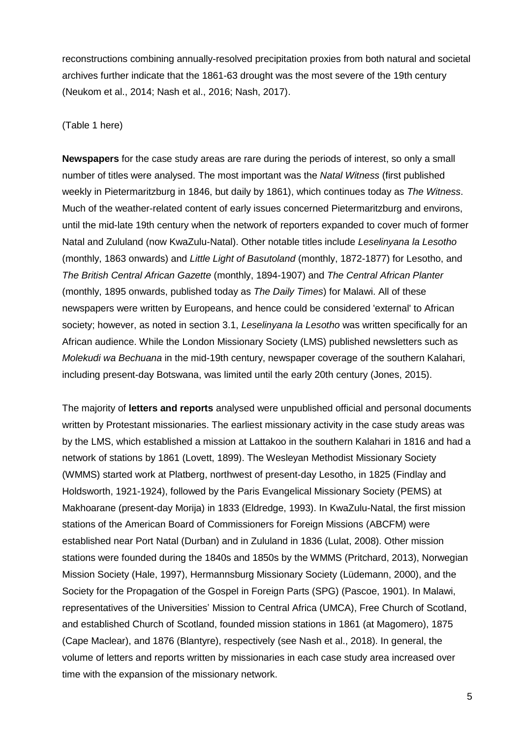reconstructions combining annually-resolved precipitation proxies from both natural and societal archives further indicate that the 1861-63 drought was the most severe of the 19th century (Neukom et al., 2014; Nash et al., 2016; Nash, 2017).

#### (Table 1 here)

**Newspapers** for the case study areas are rare during the periods of interest, so only a small number of titles were analysed. The most important was the *Natal Witness* (first published weekly in Pietermaritzburg in 1846, but daily by 1861), which continues today as *The Witness*. Much of the weather-related content of early issues concerned Pietermaritzburg and environs, until the mid-late 19th century when the network of reporters expanded to cover much of former Natal and Zululand (now KwaZulu-Natal). Other notable titles include *Leselinyana la Lesotho* (monthly, 1863 onwards) and *Little Light of Basutoland* (monthly, 1872-1877) for Lesotho, and *The British Central African Gazette* (monthly, 1894-1907) and *The Central African Planter* (monthly, 1895 onwards, published today as *The Daily Times*) for Malawi. All of these newspapers were written by Europeans, and hence could be considered 'external' to African society; however, as noted in section 3.1, *Leselinyana la Lesotho* was written specifically for an African audience. While the London Missionary Society (LMS) published newsletters such as *Molekudi wa Bechuana* in the mid-19th century, newspaper coverage of the southern Kalahari, including present-day Botswana, was limited until the early 20th century (Jones, 2015).

The majority of **letters and reports** analysed were unpublished official and personal documents written by Protestant missionaries. The earliest missionary activity in the case study areas was by the LMS, which established a mission at Lattakoo in the southern Kalahari in 1816 and had a network of stations by 1861 (Lovett, 1899). The Wesleyan Methodist Missionary Society (WMMS) started work at Platberg, northwest of present-day Lesotho, in 1825 (Findlay and Holdsworth, 1921-1924), followed by the Paris Evangelical Missionary Society (PEMS) at Makhoarane (present-day Morija) in 1833 (Eldredge, 1993). In KwaZulu-Natal, the first mission stations of the American Board of Commissioners for Foreign Missions (ABCFM) were established near Port Natal (Durban) and in Zululand in 1836 (Lulat, 2008). Other mission stations were founded during the 1840s and 1850s by the WMMS (Pritchard, 2013), Norwegian Mission Society (Hale, 1997), Hermannsburg Missionary Society (Lüdemann, 2000), and the Society for the Propagation of the Gospel in Foreign Parts (SPG) (Pascoe, 1901). In Malawi, representatives of the Universities' Mission to Central Africa (UMCA), Free Church of Scotland, and established Church of Scotland, founded mission stations in 1861 (at Magomero), 1875 (Cape Maclear), and 1876 (Blantyre), respectively (see Nash et al., 2018). In general, the volume of letters and reports written by missionaries in each case study area increased over time with the expansion of the missionary network.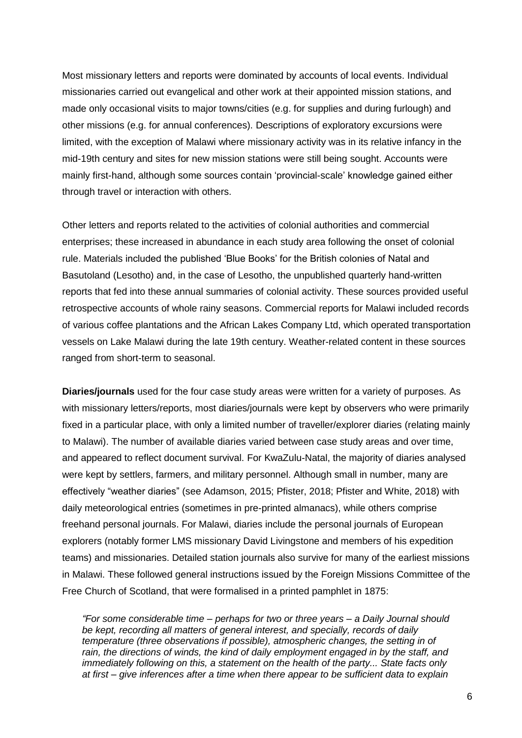Most missionary letters and reports were dominated by accounts of local events. Individual missionaries carried out evangelical and other work at their appointed mission stations, and made only occasional visits to major towns/cities (e.g. for supplies and during furlough) and other missions (e.g. for annual conferences). Descriptions of exploratory excursions were limited, with the exception of Malawi where missionary activity was in its relative infancy in the mid-19th century and sites for new mission stations were still being sought. Accounts were mainly first-hand, although some sources contain 'provincial-scale' knowledge gained either through travel or interaction with others.

Other letters and reports related to the activities of colonial authorities and commercial enterprises; these increased in abundance in each study area following the onset of colonial rule. Materials included the published 'Blue Books' for the British colonies of Natal and Basutoland (Lesotho) and, in the case of Lesotho, the unpublished quarterly hand-written reports that fed into these annual summaries of colonial activity. These sources provided useful retrospective accounts of whole rainy seasons. Commercial reports for Malawi included records of various coffee plantations and the African Lakes Company Ltd, which operated transportation vessels on Lake Malawi during the late 19th century. Weather-related content in these sources ranged from short-term to seasonal.

**Diaries/journals** used for the four case study areas were written for a variety of purposes. As with missionary letters/reports, most diaries/journals were kept by observers who were primarily fixed in a particular place, with only a limited number of traveller/explorer diaries (relating mainly to Malawi). The number of available diaries varied between case study areas and over time, and appeared to reflect document survival. For KwaZulu-Natal, the majority of diaries analysed were kept by settlers, farmers, and military personnel. Although small in number, many are effectively "weather diaries" (see Adamson, 2015; Pfister, 2018; Pfister and White, 2018) with daily meteorological entries (sometimes in pre-printed almanacs), while others comprise freehand personal journals. For Malawi, diaries include the personal journals of European explorers (notably former LMS missionary David Livingstone and members of his expedition teams) and missionaries. Detailed station journals also survive for many of the earliest missions in Malawi. These followed general instructions issued by the Foreign Missions Committee of the Free Church of Scotland, that were formalised in a printed pamphlet in 1875:

*"For some considerable time – perhaps for two or three years – a Daily Journal should be kept, recording all matters of general interest, and specially, records of daily temperature (three observations if possible), atmospheric changes, the setting in of rain, the directions of winds, the kind of daily employment engaged in by the staff, and immediately following on this, a statement on the health of the party... State facts only at first – give inferences after a time when there appear to be sufficient data to explain*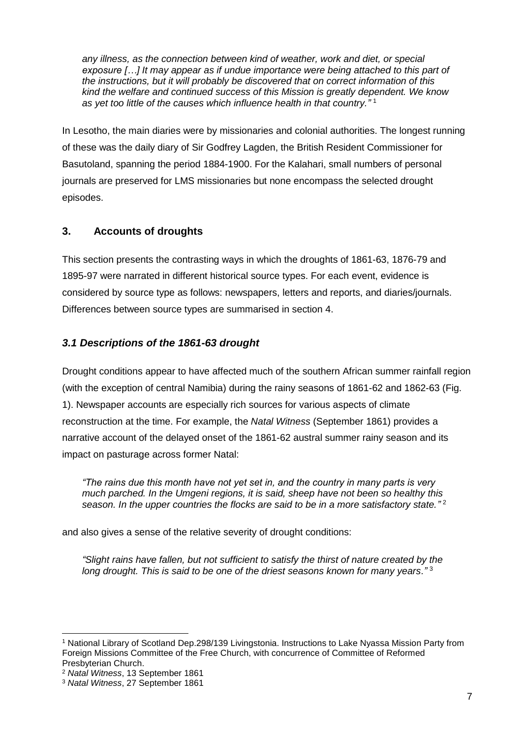*any illness, as the connection between kind of weather, work and diet, or special exposure […] It may appear as if undue importance were being attached to this part of the instructions, but it will probably be discovered that on correct information of this kind the welfare and continued success of this Mission is greatly dependent. We know as yet too little of the causes which influence health in that country."* <sup>1</sup>

In Lesotho, the main diaries were by missionaries and colonial authorities. The longest running of these was the daily diary of Sir Godfrey Lagden, the British Resident Commissioner for Basutoland, spanning the period 1884-1900. For the Kalahari, small numbers of personal journals are preserved for LMS missionaries but none encompass the selected drought episodes.

# **3. Accounts of droughts**

This section presents the contrasting ways in which the droughts of 1861-63, 1876-79 and 1895-97 were narrated in different historical source types. For each event, evidence is considered by source type as follows: newspapers, letters and reports, and diaries/journals. Differences between source types are summarised in section 4.

# *3.1 Descriptions of the 1861-63 drought*

Drought conditions appear to have affected much of the southern African summer rainfall region (with the exception of central Namibia) during the rainy seasons of 1861-62 and 1862-63 (Fig. 1). Newspaper accounts are especially rich sources for various aspects of climate reconstruction at the time. For example, the *Natal Witness* (September 1861) provides a narrative account of the delayed onset of the 1861-62 austral summer rainy season and its impact on pasturage across former Natal:

*"The rains due this month have not yet set in, and the country in many parts is very much parched. In the Umgeni regions, it is said, sheep have not been so healthy this season. In the upper countries the flocks are said to be in a more satisfactory state."* <sup>2</sup>

and also gives a sense of the relative severity of drought conditions:

*"Slight rains have fallen, but not sufficient to satisfy the thirst of nature created by the long drought. This is said to be one of the driest seasons known for many years."* <sup>3</sup>

<sup>1</sup> National Library of Scotland Dep.298/139 Livingstonia. Instructions to Lake Nyassa Mission Party from Foreign Missions Committee of the Free Church, with concurrence of Committee of Reformed Presbyterian Church.

<sup>2</sup> *Natal Witness*, 13 September 1861

<sup>3</sup> *Natal Witness*, 27 September 1861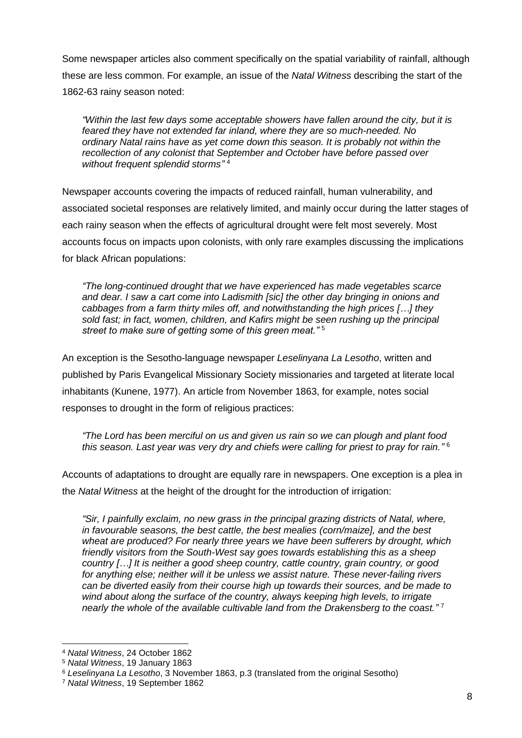Some newspaper articles also comment specifically on the spatial variability of rainfall, although these are less common. For example, an issue of the *Natal Witness* describing the start of the 1862-63 rainy season noted:

*"Within the last few days some acceptable showers have fallen around the city, but it is feared they have not extended far inland, where they are so much-needed. No ordinary Natal rains have as yet come down this season. It is probably not within the recollection of any colonist that September and October have before passed over without frequent splendid storms"* <sup>4</sup>

Newspaper accounts covering the impacts of reduced rainfall, human vulnerability, and associated societal responses are relatively limited, and mainly occur during the latter stages of each rainy season when the effects of agricultural drought were felt most severely. Most accounts focus on impacts upon colonists, with only rare examples discussing the implications for black African populations:

*"The long-continued drought that we have experienced has made vegetables scarce and dear. I saw a cart come into Ladismith [sic] the other day bringing in onions and cabbages from a farm thirty miles off, and notwithstanding the high prices […] they sold fast; in fact, women, children, and Kafirs might be seen rushing up the principal street to make sure of getting some of this green meat."* <sup>5</sup>

An exception is the Sesotho-language newspaper *Leselinyana La Lesotho*, written and published by Paris Evangelical Missionary Society missionaries and targeted at literate local inhabitants (Kunene, 1977). An article from November 1863, for example, notes social responses to drought in the form of religious practices:

*"The Lord has been merciful on us and given us rain so we can plough and plant food this season. Last year was very dry and chiefs were calling for priest to pray for rain."* <sup>6</sup>

Accounts of adaptations to drought are equally rare in newspapers. One exception is a plea in the *Natal Witness* at the height of the drought for the introduction of irrigation:

*"Sir, I painfully exclaim, no new grass in the principal grazing districts of Natal, where, in favourable seasons, the best cattle, the best mealies (corn/maize], and the best wheat are produced? For nearly three years we have been sufferers by drought, which friendly visitors from the South-West say goes towards establishing this as a sheep country […] It is neither a good sheep country, cattle country, grain country, or good for anything else; neither will it be unless we assist nature. These never-failing rivers can be diverted easily from their course high up towards their sources, and be made to wind about along the surface of the country, always keeping high levels, to irrigate nearly the whole of the available cultivable land from the Drakensberg to the coast."* 7

 $\overline{a}$ <sup>4</sup> *Natal Witness*, 24 October 1862

<sup>5</sup> *Natal Witness*, 19 January 1863

<sup>6</sup> *Leselinyana La Lesotho*, 3 November 1863, p.3 (translated from the original Sesotho)

<sup>7</sup> *Natal Witness*, 19 September 1862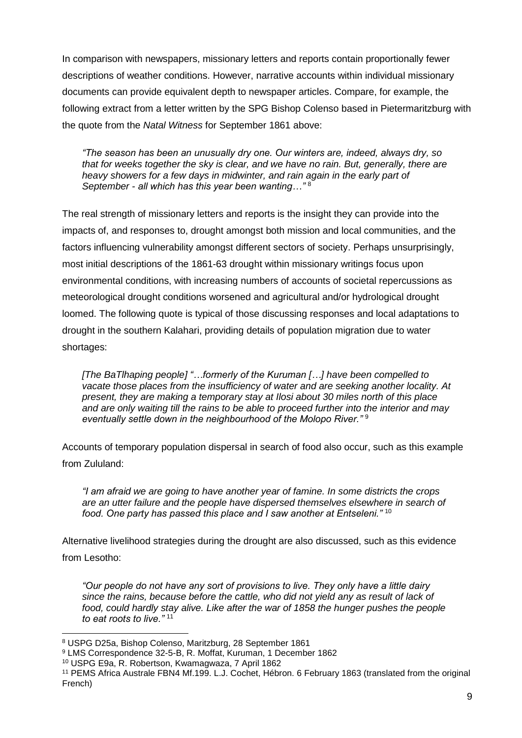In comparison with newspapers, missionary letters and reports contain proportionally fewer descriptions of weather conditions. However, narrative accounts within individual missionary documents can provide equivalent depth to newspaper articles. Compare, for example, the following extract from a letter written by the SPG Bishop Colenso based in Pietermaritzburg with the quote from the *Natal Witness* for September 1861 above:

*"The season has been an unusually dry one. Our winters are, indeed, always dry, so that for weeks together the sky is clear, and we have no rain. But, generally, there are heavy showers for a few days in midwinter, and rain again in the early part of September - all which has this year been wanting…"* <sup>8</sup>

The real strength of missionary letters and reports is the insight they can provide into the impacts of, and responses to, drought amongst both mission and local communities, and the factors influencing vulnerability amongst different sectors of society. Perhaps unsurprisingly, most initial descriptions of the 1861-63 drought within missionary writings focus upon environmental conditions, with increasing numbers of accounts of societal repercussions as meteorological drought conditions worsened and agricultural and/or hydrological drought loomed. The following quote is typical of those discussing responses and local adaptations to drought in the southern Kalahari, providing details of population migration due to water shortages:

*[The BaTlhaping people] "…formerly of the Kuruman […] have been compelled to vacate those places from the insufficiency of water and are seeking another locality. At present, they are making a temporary stay at Ilosi about 30 miles north of this place and are only waiting till the rains to be able to proceed further into the interior and may eventually settle down in the neighbourhood of the Molopo River."* <sup>9</sup>

Accounts of temporary population dispersal in search of food also occur, such as this example from Zululand:

*"I am afraid we are going to have another year of famine. In some districts the crops are an utter failure and the people have dispersed themselves elsewhere in search of food. One party has passed this place and I saw another at Entseleni."* <sup>10</sup>

Alternative livelihood strategies during the drought are also discussed, such as this evidence from Lesotho:

*"Our people do not have any sort of provisions to live. They only have a little dairy since the rains, because before the cattle, who did not yield any as result of lack of food, could hardly stay alive. Like after the war of 1858 the hunger pushes the people to eat roots to live."* <sup>11</sup>

 <sup>8</sup> USPG D25a, Bishop Colenso, Maritzburg, 28 September 1861

<sup>9</sup> LMS Correspondence 32-5-B, R. Moffat, Kuruman, 1 December 1862

<sup>10</sup> USPG E9a, R. Robertson, Kwamagwaza, 7 April 1862

<sup>11</sup> PEMS Africa Australe FBN4 Mf.199. L.J. Cochet, Hébron. 6 February 1863 (translated from the original French)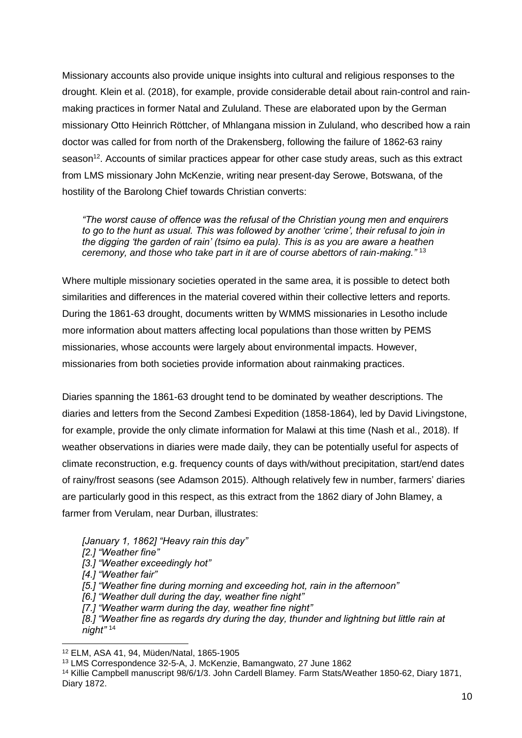Missionary accounts also provide unique insights into cultural and religious responses to the drought. Klein et al. (2018), for example, provide considerable detail about rain-control and rainmaking practices in former Natal and Zululand. These are elaborated upon by the German missionary Otto Heinrich Röttcher, of Mhlangana mission in Zululand, who described how a rain doctor was called for from north of the Drakensberg, following the failure of 1862-63 rainy season<sup>12</sup>. Accounts of similar practices appear for other case study areas, such as this extract from LMS missionary John McKenzie, writing near present-day Serowe, Botswana, of the hostility of the Barolong Chief towards Christian converts:

*"The worst cause of offence was the refusal of the Christian young men and enquirers to go to the hunt as usual. This was followed by another 'crime', their refusal to join in the digging 'the garden of rain' (tsimo ea pula). This is as you are aware a heathen ceremony, and those who take part in it are of course abettors of rain-making."* <sup>13</sup>

Where multiple missionary societies operated in the same area, it is possible to detect both similarities and differences in the material covered within their collective letters and reports. During the 1861-63 drought, documents written by WMMS missionaries in Lesotho include more information about matters affecting local populations than those written by PEMS missionaries, whose accounts were largely about environmental impacts. However, missionaries from both societies provide information about rainmaking practices.

Diaries spanning the 1861-63 drought tend to be dominated by weather descriptions. The diaries and letters from the Second Zambesi Expedition (1858-1864), led by David Livingstone, for example, provide the only climate information for Malawi at this time (Nash et al., 2018). If weather observations in diaries were made daily, they can be potentially useful for aspects of climate reconstruction, e.g. frequency counts of days with/without precipitation, start/end dates of rainy/frost seasons (see Adamson 2015). Although relatively few in number, farmers' diaries are particularly good in this respect, as this extract from the 1862 diary of John Blamey, a farmer from Verulam, near Durban, illustrates:

*[January 1, 1862] "Heavy rain this day"*

*[2.] "Weather fine"*

 $\overline{a}$ 

- *[3.] "Weather exceedingly hot"*
- *[4.] "Weather fair"*
- *[5.] "Weather fine during morning and exceeding hot, rain in the afternoon"*
- *[6.] "Weather dull during the day, weather fine night"*
- *[7.] "Weather warm during the day, weather fine night"*

*[8.] "Weather fine as regards dry during the day, thunder and lightning but little rain at night"* <sup>14</sup>

<sup>12</sup> ELM, ASA 41, 94, Müden/Natal, 1865-1905

<sup>13</sup> LMS Correspondence 32-5-A, J. McKenzie, Bamangwato, 27 June 1862

<sup>14</sup> Killie Campbell manuscript 98/6/1/3. John Cardell Blamey. Farm Stats/Weather 1850-62, Diary 1871, Diary 1872.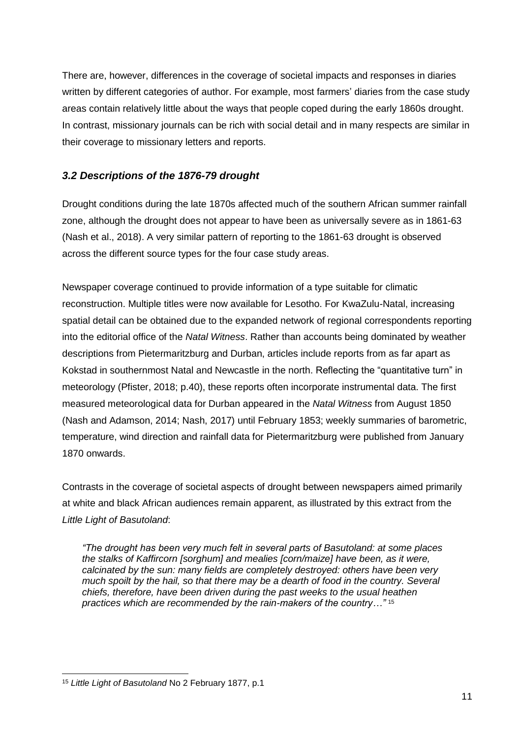There are, however, differences in the coverage of societal impacts and responses in diaries written by different categories of author. For example, most farmers' diaries from the case study areas contain relatively little about the ways that people coped during the early 1860s drought. In contrast, missionary journals can be rich with social detail and in many respects are similar in their coverage to missionary letters and reports.

# *3.2 Descriptions of the 1876-79 drought*

Drought conditions during the late 1870s affected much of the southern African summer rainfall zone, although the drought does not appear to have been as universally severe as in 1861-63 (Nash et al., 2018). A very similar pattern of reporting to the 1861-63 drought is observed across the different source types for the four case study areas.

Newspaper coverage continued to provide information of a type suitable for climatic reconstruction. Multiple titles were now available for Lesotho. For KwaZulu-Natal, increasing spatial detail can be obtained due to the expanded network of regional correspondents reporting into the editorial office of the *Natal Witness*. Rather than accounts being dominated by weather descriptions from Pietermaritzburg and Durban, articles include reports from as far apart as Kokstad in southernmost Natal and Newcastle in the north. Reflecting the "quantitative turn" in meteorology (Pfister, 2018; p.40), these reports often incorporate instrumental data. The first measured meteorological data for Durban appeared in the *Natal Witness* from August 1850 (Nash and Adamson, 2014; Nash, 2017) until February 1853; weekly summaries of barometric, temperature, wind direction and rainfall data for Pietermaritzburg were published from January 1870 onwards.

Contrasts in the coverage of societal aspects of drought between newspapers aimed primarily at white and black African audiences remain apparent, as illustrated by this extract from the *Little Light of Basutoland*:

*"The drought has been very much felt in several parts of Basutoland: at some places the stalks of Kaffircorn [sorghum] and mealies [corn/maize] have been, as it were, calcinated by the sun: many fields are completely destroyed: others have been very much spoilt by the hail, so that there may be a dearth of food in the country. Several chiefs, therefore, have been driven during the past weeks to the usual heathen practices which are recommended by the rain-makers of the country…"* <sup>15</sup>

 $\overline{a}$ 

<sup>15</sup> *Little Light of Basutoland* No 2 February 1877, p.1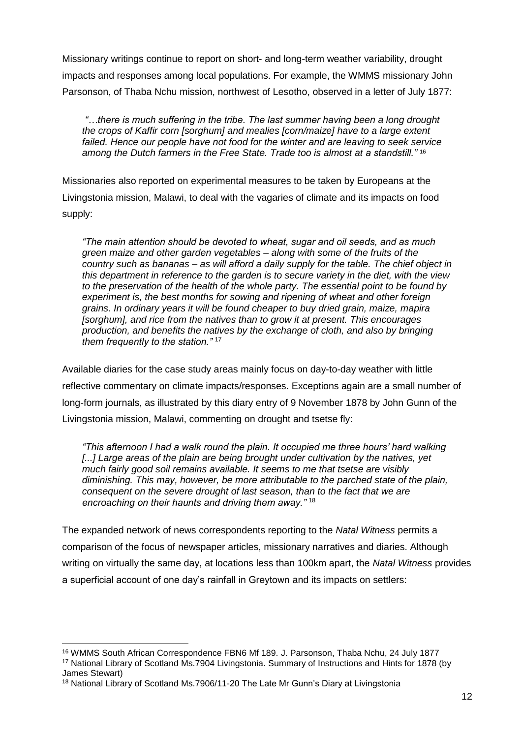Missionary writings continue to report on short- and long-term weather variability, drought impacts and responses among local populations. For example, the WMMS missionary John Parsonson, of Thaba Nchu mission, northwest of Lesotho, observed in a letter of July 1877:

*"…there is much suffering in the tribe. The last summer having been a long drought the crops of Kaffir corn [sorghum] and mealies [corn/maize] have to a large extent failed. Hence our people have not food for the winter and are leaving to seek service among the Dutch farmers in the Free State. Trade too is almost at a standstill."* <sup>16</sup>

Missionaries also reported on experimental measures to be taken by Europeans at the Livingstonia mission, Malawi, to deal with the vagaries of climate and its impacts on food supply:

*"The main attention should be devoted to wheat, sugar and oil seeds, and as much green maize and other garden vegetables – along with some of the fruits of the country such as bananas – as will afford a daily supply for the table. The chief object in this department in reference to the garden is to secure variety in the diet, with the view to the preservation of the health of the whole party. The essential point to be found by experiment is, the best months for sowing and ripening of wheat and other foreign grains. In ordinary years it will be found cheaper to buy dried grain, maize, mapira [sorghum], and rice from the natives than to grow it at present. This encourages production, and benefits the natives by the exchange of cloth, and also by bringing them frequently to the station."* <sup>17</sup>

Available diaries for the case study areas mainly focus on day-to-day weather with little reflective commentary on climate impacts/responses. Exceptions again are a small number of long-form journals, as illustrated by this diary entry of 9 November 1878 by John Gunn of the Livingstonia mission, Malawi, commenting on drought and tsetse fly:

*"This afternoon I had a walk round the plain. It occupied me three hours' hard walking*  [...] Large areas of the plain are being brought under cultivation by the natives, yet *much fairly good soil remains available. It seems to me that tsetse are visibly diminishing. This may, however, be more attributable to the parched state of the plain, consequent on the severe drought of last season, than to the fact that we are encroaching on their haunts and driving them away."* <sup>18</sup>

The expanded network of news correspondents reporting to the *Natal Witness* permits a comparison of the focus of newspaper articles, missionary narratives and diaries. Although writing on virtually the same day, at locations less than 100km apart, the *Natal Witness* provides a superficial account of one day's rainfall in Greytown and its impacts on settlers:

 $\overline{a}$ 

<sup>16</sup> WMMS South African Correspondence FBN6 Mf 189. J. Parsonson, Thaba Nchu, 24 July 1877 <sup>17</sup> National Library of Scotland Ms.7904 Livingstonia. Summary of Instructions and Hints for 1878 (by James Stewart)

<sup>&</sup>lt;sup>18</sup> National Library of Scotland Ms.7906/11-20 The Late Mr Gunn's Diary at Livingstonia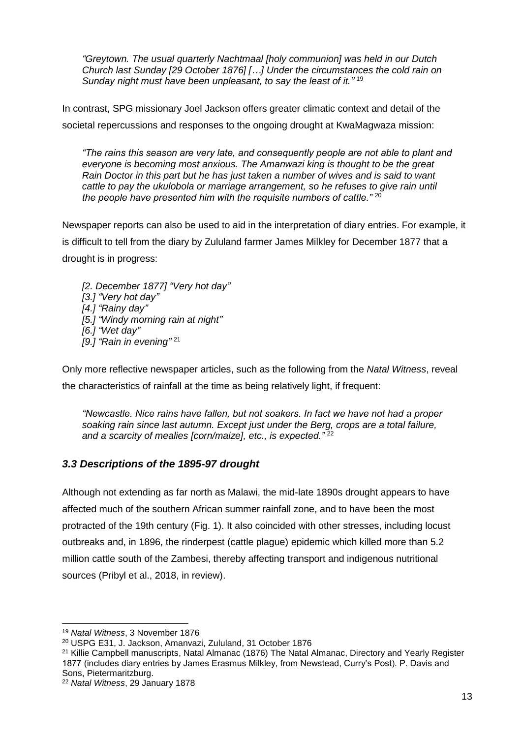*"Greytown. The usual quarterly Nachtmaal [holy communion] was held in our Dutch Church last Sunday [29 October 1876] […] Under the circumstances the cold rain on Sunday night must have been unpleasant, to say the least of it."* <sup>19</sup>

In contrast, SPG missionary Joel Jackson offers greater climatic context and detail of the societal repercussions and responses to the ongoing drought at KwaMagwaza mission:

*"The rains this season are very late, and consequently people are not able to plant and everyone is becoming most anxious. The Amanwazi king is thought to be the great Rain Doctor in this part but he has just taken a number of wives and is said to want cattle to pay the ukulobola or marriage arrangement, so he refuses to give rain until the people have presented him with the requisite numbers of cattle."* <sup>20</sup>

Newspaper reports can also be used to aid in the interpretation of diary entries. For example, it is difficult to tell from the diary by Zululand farmer James Milkley for December 1877 that a drought is in progress:

*[2. December 1877] "Very hot day" [3.] "Very hot day" [4.] "Rainy day" [5.] "Windy morning rain at night" [6.] "Wet day" [9.] "Rain in evening"* <sup>21</sup>

Only more reflective newspaper articles, such as the following from the *Natal Witness*, reveal the characteristics of rainfall at the time as being relatively light, if frequent:

*"Newcastle. Nice rains have fallen, but not soakers. In fact we have not had a proper soaking rain since last autumn. Except just under the Berg, crops are a total failure, and a scarcity of mealies [corn/maize], etc., is expected."* <sup>22</sup>

# *3.3 Descriptions of the 1895-97 drought*

Although not extending as far north as Malawi, the mid-late 1890s drought appears to have affected much of the southern African summer rainfall zone, and to have been the most protracted of the 19th century (Fig. 1). It also coincided with other stresses, including locust outbreaks and, in 1896, the rinderpest (cattle plague) epidemic which killed more than 5.2 million cattle south of the Zambesi, thereby affecting transport and indigenous nutritional sources (Pribyl et al., 2018, in review).

 <sup>19</sup> *Natal Witness*, 3 November 1876

<sup>20</sup> USPG E31, J. Jackson, Amanvazi, Zululand, 31 October 1876

<sup>&</sup>lt;sup>21</sup> Killie Campbell manuscripts, Natal Almanac (1876) The Natal Almanac, Directory and Yearly Register 1877 (includes diary entries by James Erasmus Milkley, from Newstead, Curry's Post). P. Davis and Sons, Pietermaritzburg.

<sup>22</sup> *Natal Witness*, 29 January 1878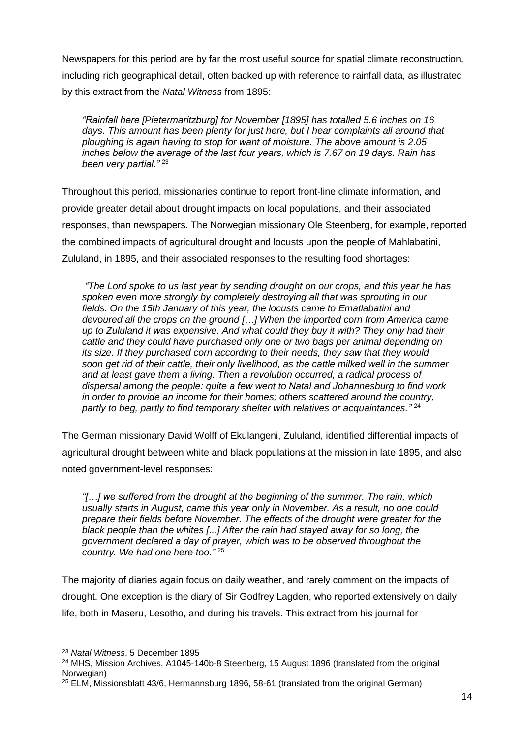Newspapers for this period are by far the most useful source for spatial climate reconstruction, including rich geographical detail, often backed up with reference to rainfall data, as illustrated by this extract from the *Natal Witness* from 1895:

*"Rainfall here [Pietermaritzburg] for November [1895] has totalled 5.6 inches on 16 days. This amount has been plenty for just here, but I hear complaints all around that ploughing is again having to stop for want of moisture. The above amount is 2.05 inches below the average of the last four years, which is 7.67 on 19 days. Rain has been very partial."* <sup>23</sup>

Throughout this period, missionaries continue to report front-line climate information, and provide greater detail about drought impacts on local populations, and their associated responses, than newspapers. The Norwegian missionary Ole Steenberg, for example, reported the combined impacts of agricultural drought and locusts upon the people of Mahlabatini, Zululand, in 1895, and their associated responses to the resulting food shortages:

*"The Lord spoke to us last year by sending drought on our crops, and this year he has spoken even more strongly by completely destroying all that was sprouting in our fields. On the 15th January of this year, the locusts came to Ematlabatini and devoured all the crops on the ground […] When the imported corn from America came up to Zululand it was expensive. And what could they buy it with? They only had their cattle and they could have purchased only one or two bags per animal depending on its size. If they purchased corn according to their needs, they saw that they would soon get rid of their cattle, their only livelihood, as the cattle milked well in the summer and at least gave them a living. Then a revolution occurred, a radical process of dispersal among the people: quite a few went to Natal and Johannesburg to find work in order to provide an income for their homes; others scattered around the country, partly to beg, partly to find temporary shelter with relatives or acquaintances."* <sup>24</sup>

The German missionary David Wolff of Ekulangeni, Zululand, identified differential impacts of agricultural drought between white and black populations at the mission in late 1895, and also noted government-level responses:

*"[…] we suffered from the drought at the beginning of the summer. The rain, which usually starts in August, came this year only in November. As a result, no one could prepare their fields before November. The effects of the drought were greater for the black people than the whites [...] After the rain had stayed away for so long, the government declared a day of prayer, which was to be observed throughout the country. We had one here too."* <sup>25</sup>

The majority of diaries again focus on daily weather, and rarely comment on the impacts of drought. One exception is the diary of Sir Godfrey Lagden, who reported extensively on daily life, both in Maseru, Lesotho, and during his travels. This extract from his journal for

 $\overline{a}$ <sup>23</sup> *Natal Witness*, 5 December 1895

<sup>&</sup>lt;sup>24</sup> MHS, Mission Archives, A1045-140b-8 Steenberg, 15 August 1896 (translated from the original Norwegian)

<sup>25</sup> ELM, Missionsblatt 43/6, Hermannsburg 1896, 58-61 (translated from the original German)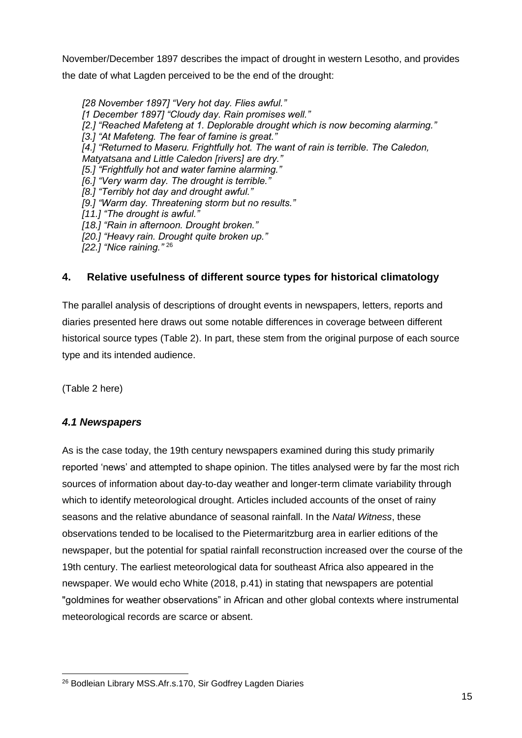November/December 1897 describes the impact of drought in western Lesotho, and provides the date of what Lagden perceived to be the end of the drought:

*[28 November 1897] "Very hot day. Flies awful." [1 December 1897] "Cloudy day. Rain promises well." [2.] "Reached Mafeteng at 1. Deplorable drought which is now becoming alarming." [3.] "At Mafeteng. The fear of famine is great." [4.] "Returned to Maseru. Frightfully hot. The want of rain is terrible. The Caledon, Matyatsana and Little Caledon [rivers] are dry." [5.] "Frightfully hot and water famine alarming." [6.] "Very warm day. The drought is terrible." [8.] "Terribly hot day and drought awful." [9.] "Warm day. Threatening storm but no results." [11.] "The drought is awful." [18.] "Rain in afternoon. Drought broken." [20.] "Heavy rain. Drought quite broken up." [22.] "Nice raining."* <sup>26</sup>

## **4. Relative usefulness of different source types for historical climatology**

The parallel analysis of descriptions of drought events in newspapers, letters, reports and diaries presented here draws out some notable differences in coverage between different historical source types (Table 2). In part, these stem from the original purpose of each source type and its intended audience.

(Table 2 here)

 $\overline{a}$ 

### *4.1 Newspapers*

As is the case today, the 19th century newspapers examined during this study primarily reported 'news' and attempted to shape opinion. The titles analysed were by far the most rich sources of information about day-to-day weather and longer-term climate variability through which to identify meteorological drought. Articles included accounts of the onset of rainy seasons and the relative abundance of seasonal rainfall. In the *Natal Witness*, these observations tended to be localised to the Pietermaritzburg area in earlier editions of the newspaper, but the potential for spatial rainfall reconstruction increased over the course of the 19th century. The earliest meteorological data for southeast Africa also appeared in the newspaper. We would echo White (2018, p.41) in stating that newspapers are potential "goldmines for weather observations" in African and other global contexts where instrumental meteorological records are scarce or absent.

<sup>26</sup> Bodleian Library MSS.Afr.s.170, Sir Godfrey Lagden Diaries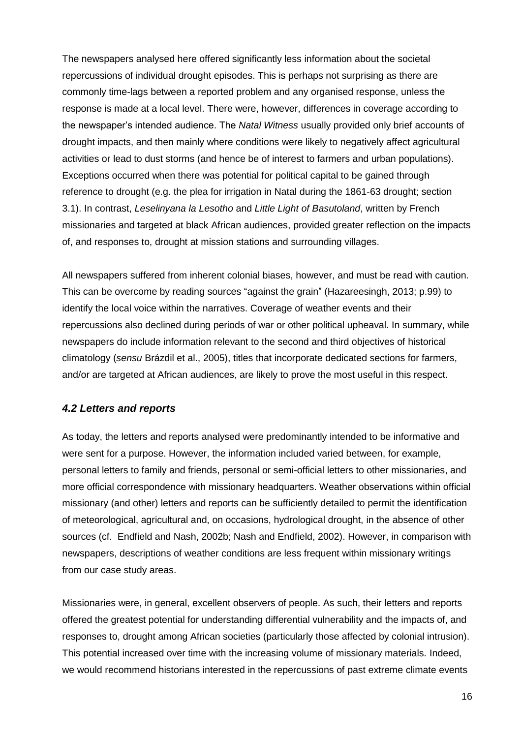The newspapers analysed here offered significantly less information about the societal repercussions of individual drought episodes. This is perhaps not surprising as there are commonly time-lags between a reported problem and any organised response, unless the response is made at a local level. There were, however, differences in coverage according to the newspaper's intended audience. The *Natal Witness* usually provided only brief accounts of drought impacts, and then mainly where conditions were likely to negatively affect agricultural activities or lead to dust storms (and hence be of interest to farmers and urban populations). Exceptions occurred when there was potential for political capital to be gained through reference to drought (e.g. the plea for irrigation in Natal during the 1861-63 drought; section 3.1). In contrast, *Leselinyana la Lesotho* and *Little Light of Basutoland*, written by French missionaries and targeted at black African audiences, provided greater reflection on the impacts of, and responses to, drought at mission stations and surrounding villages.

All newspapers suffered from inherent colonial biases, however, and must be read with caution. This can be overcome by reading sources "against the grain" (Hazareesingh, 2013; p.99) to identify the local voice within the narratives. Coverage of weather events and their repercussions also declined during periods of war or other political upheaval. In summary, while newspapers do include information relevant to the second and third objectives of historical climatology (*sensu* Brázdil et al., 2005), titles that incorporate dedicated sections for farmers, and/or are targeted at African audiences, are likely to prove the most useful in this respect.

### *4.2 Letters and reports*

As today, the letters and reports analysed were predominantly intended to be informative and were sent for a purpose. However, the information included varied between, for example, personal letters to family and friends, personal or semi-official letters to other missionaries, and more official correspondence with missionary headquarters. Weather observations within official missionary (and other) letters and reports can be sufficiently detailed to permit the identification of meteorological, agricultural and, on occasions, hydrological drought, in the absence of other sources (cf. Endfield and Nash, 2002b; Nash and Endfield, 2002). However, in comparison with newspapers, descriptions of weather conditions are less frequent within missionary writings from our case study areas.

Missionaries were, in general, excellent observers of people. As such, their letters and reports offered the greatest potential for understanding differential vulnerability and the impacts of, and responses to, drought among African societies (particularly those affected by colonial intrusion). This potential increased over time with the increasing volume of missionary materials. Indeed, we would recommend historians interested in the repercussions of past extreme climate events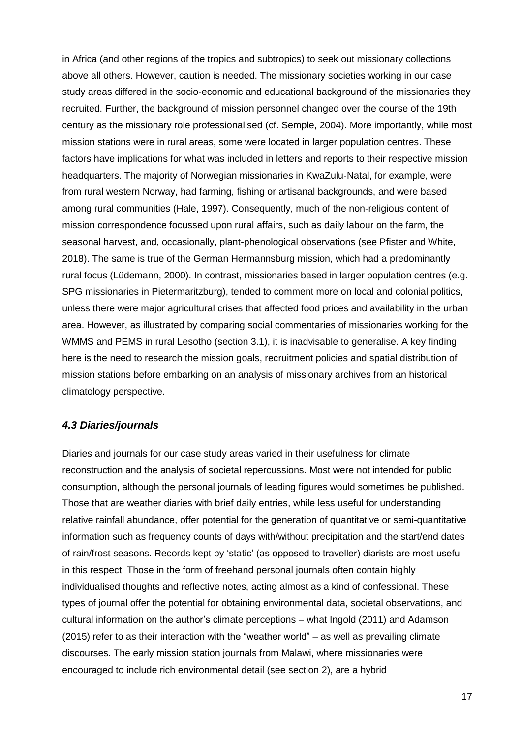in Africa (and other regions of the tropics and subtropics) to seek out missionary collections above all others. However, caution is needed. The missionary societies working in our case study areas differed in the socio-economic and educational background of the missionaries they recruited. Further, the background of mission personnel changed over the course of the 19th century as the missionary role professionalised (cf. Semple, 2004). More importantly, while most mission stations were in rural areas, some were located in larger population centres. These factors have implications for what was included in letters and reports to their respective mission headquarters. The majority of Norwegian missionaries in KwaZulu-Natal, for example, were from rural western Norway, had farming, fishing or artisanal backgrounds, and were based among rural communities (Hale, 1997). Consequently, much of the non-religious content of mission correspondence focussed upon rural affairs, such as daily labour on the farm, the seasonal harvest, and, occasionally, plant-phenological observations (see Pfister and White, 2018). The same is true of the German Hermannsburg mission, which had a predominantly rural focus (Lüdemann, 2000). In contrast, missionaries based in larger population centres (e.g. SPG missionaries in Pietermaritzburg), tended to comment more on local and colonial politics, unless there were major agricultural crises that affected food prices and availability in the urban area. However, as illustrated by comparing social commentaries of missionaries working for the WMMS and PEMS in rural Lesotho (section 3.1), it is inadvisable to generalise. A key finding here is the need to research the mission goals, recruitment policies and spatial distribution of mission stations before embarking on an analysis of missionary archives from an historical climatology perspective.

#### *4.3 Diaries/journals*

Diaries and journals for our case study areas varied in their usefulness for climate reconstruction and the analysis of societal repercussions. Most were not intended for public consumption, although the personal journals of leading figures would sometimes be published. Those that are weather diaries with brief daily entries, while less useful for understanding relative rainfall abundance, offer potential for the generation of quantitative or semi-quantitative information such as frequency counts of days with/without precipitation and the start/end dates of rain/frost seasons. Records kept by 'static' (as opposed to traveller) diarists are most useful in this respect. Those in the form of freehand personal journals often contain highly individualised thoughts and reflective notes, acting almost as a kind of confessional. These types of journal offer the potential for obtaining environmental data, societal observations, and cultural information on the author's climate perceptions – what Ingold (2011) and Adamson (2015) refer to as their interaction with the "weather world" – as well as prevailing climate discourses. The early mission station journals from Malawi, where missionaries were encouraged to include rich environmental detail (see section 2), are a hybrid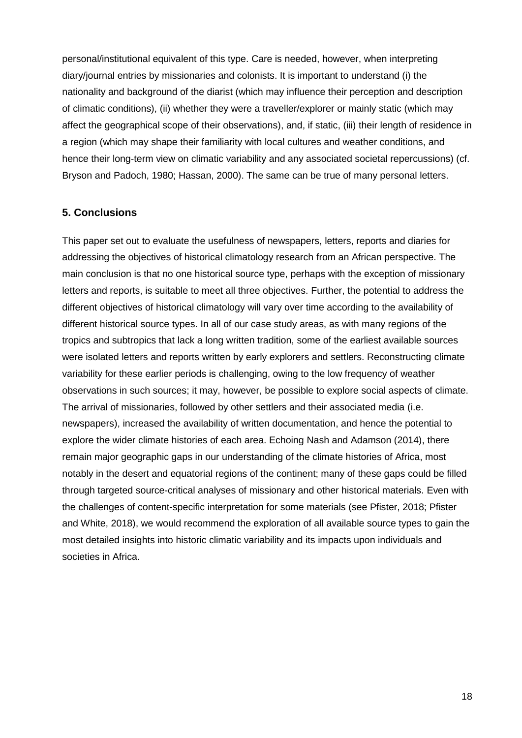personal/institutional equivalent of this type. Care is needed, however, when interpreting diary/journal entries by missionaries and colonists. It is important to understand (i) the nationality and background of the diarist (which may influence their perception and description of climatic conditions), (ii) whether they were a traveller/explorer or mainly static (which may affect the geographical scope of their observations), and, if static, (iii) their length of residence in a region (which may shape their familiarity with local cultures and weather conditions, and hence their long-term view on climatic variability and any associated societal repercussions) (cf. Bryson and Padoch, 1980; Hassan, 2000). The same can be true of many personal letters.

### **5. Conclusions**

This paper set out to evaluate the usefulness of newspapers, letters, reports and diaries for addressing the objectives of historical climatology research from an African perspective. The main conclusion is that no one historical source type, perhaps with the exception of missionary letters and reports, is suitable to meet all three objectives. Further, the potential to address the different objectives of historical climatology will vary over time according to the availability of different historical source types. In all of our case study areas, as with many regions of the tropics and subtropics that lack a long written tradition, some of the earliest available sources were isolated letters and reports written by early explorers and settlers. Reconstructing climate variability for these earlier periods is challenging, owing to the low frequency of weather observations in such sources; it may, however, be possible to explore social aspects of climate. The arrival of missionaries, followed by other settlers and their associated media (i.e. newspapers), increased the availability of written documentation, and hence the potential to explore the wider climate histories of each area. Echoing Nash and Adamson (2014), there remain major geographic gaps in our understanding of the climate histories of Africa, most notably in the desert and equatorial regions of the continent; many of these gaps could be filled through targeted source-critical analyses of missionary and other historical materials. Even with the challenges of content-specific interpretation for some materials (see Pfister, 2018; Pfister and White, 2018), we would recommend the exploration of all available source types to gain the most detailed insights into historic climatic variability and its impacts upon individuals and societies in Africa.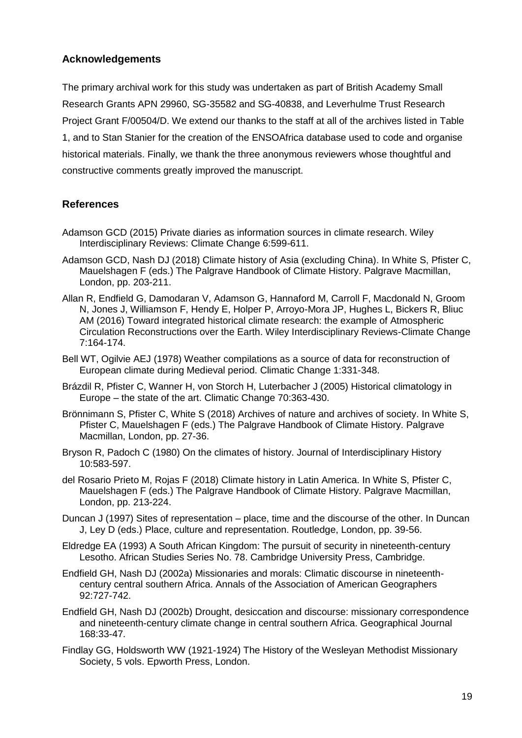# **Acknowledgements**

The primary archival work for this study was undertaken as part of British Academy Small Research Grants APN 29960, SG-35582 and SG-40838, and Leverhulme Trust Research Project Grant F/00504/D. We extend our thanks to the staff at all of the archives listed in Table 1, and to Stan Stanier for the creation of the ENSOAfrica database used to code and organise historical materials. Finally, we thank the three anonymous reviewers whose thoughtful and constructive comments greatly improved the manuscript.

## **References**

- Adamson GCD (2015) Private diaries as information sources in climate research. Wiley Interdisciplinary Reviews: Climate Change 6:599-611.
- Adamson GCD, Nash DJ (2018) Climate history of Asia (excluding China). In White S, Pfister C, Mauelshagen F (eds.) The Palgrave Handbook of Climate History. Palgrave Macmillan, London, pp. 203-211.
- Allan R, Endfield G, Damodaran V, Adamson G, Hannaford M, Carroll F, Macdonald N, Groom N, Jones J, Williamson F, Hendy E, Holper P, Arroyo-Mora JP, Hughes L, Bickers R, Bliuc AM (2016) Toward integrated historical climate research: the example of Atmospheric Circulation Reconstructions over the Earth. Wiley Interdisciplinary Reviews-Climate Change 7:164-174.
- Bell WT, Ogilvie AEJ (1978) Weather compilations as a source of data for reconstruction of European climate during Medieval period. Climatic Change 1:331-348.
- Brázdil R, Pfister C, Wanner H, von Storch H, Luterbacher J (2005) Historical climatology in Europe – the state of the art. Climatic Change 70:363-430.
- Brönnimann S, Pfister C, White S (2018) Archives of nature and archives of society. In White S, Pfister C, Mauelshagen F (eds.) The Palgrave Handbook of Climate History. Palgrave Macmillan, London, pp. 27-36.
- Bryson R, Padoch C (1980) On the climates of history. Journal of Interdisciplinary History 10:583-597.
- del Rosario Prieto M, Rojas F (2018) Climate history in Latin America. In White S, Pfister C, Mauelshagen F (eds.) The Palgrave Handbook of Climate History. Palgrave Macmillan, London, pp. 213-224.
- Duncan J (1997) Sites of representation place, time and the discourse of the other. In Duncan J, Ley D (eds.) Place, culture and representation. Routledge, London, pp. 39-56.
- Eldredge EA (1993) A South African Kingdom: The pursuit of security in nineteenth-century Lesotho. African Studies Series No. 78. Cambridge University Press, Cambridge.
- Endfield GH, Nash DJ (2002a) Missionaries and morals: Climatic discourse in nineteenthcentury central southern Africa. Annals of the Association of American Geographers 92:727-742.
- Endfield GH, Nash DJ (2002b) Drought, desiccation and discourse: missionary correspondence and nineteenth-century climate change in central southern Africa. Geographical Journal 168:33-47.
- Findlay GG, Holdsworth WW (1921-1924) The History of the Wesleyan Methodist Missionary Society, 5 vols. Epworth Press, London.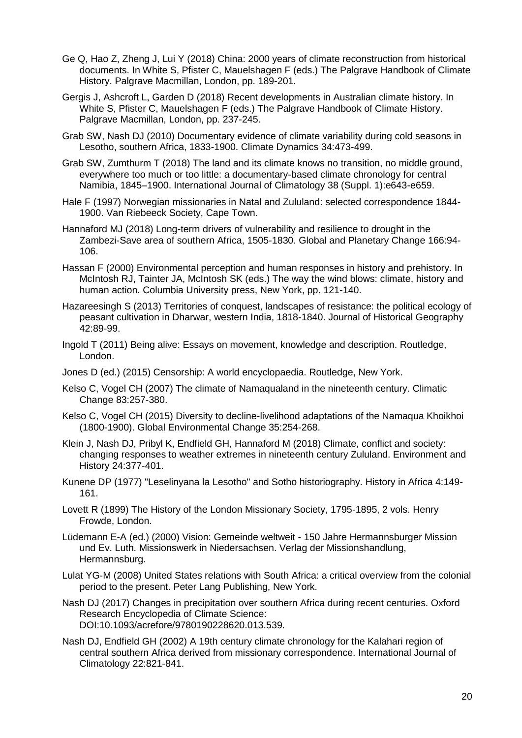- Ge Q, Hao Z, Zheng J, Lui Y (2018) China: 2000 years of climate reconstruction from historical documents. In White S, Pfister C, Mauelshagen F (eds.) The Palgrave Handbook of Climate History. Palgrave Macmillan, London, pp. 189-201.
- Gergis J, Ashcroft L, Garden D (2018) Recent developments in Australian climate history. In White S, Pfister C, Mauelshagen F (eds.) The Palgrave Handbook of Climate History. Palgrave Macmillan, London, pp. 237-245.
- Grab SW, Nash DJ (2010) Documentary evidence of climate variability during cold seasons in Lesotho, southern Africa, 1833-1900. Climate Dynamics 34:473-499.
- Grab SW, Zumthurm T (2018) The land and its climate knows no transition, no middle ground, everywhere too much or too little: a documentary-based climate chronology for central Namibia, 1845–1900. International Journal of Climatology 38 (Suppl. 1):e643-e659.
- Hale F (1997) Norwegian missionaries in Natal and Zululand: selected correspondence 1844- 1900. Van Riebeeck Society, Cape Town.
- Hannaford MJ (2018) Long-term drivers of vulnerability and resilience to drought in the Zambezi-Save area of southern Africa, 1505-1830. Global and Planetary Change 166:94- 106.
- Hassan F (2000) Environmental perception and human responses in history and prehistory. In McIntosh RJ, Tainter JA, McIntosh SK (eds.) The way the wind blows: climate, history and human action. Columbia University press, New York, pp. 121-140.
- Hazareesingh S (2013) Territories of conquest, landscapes of resistance: the political ecology of peasant cultivation in Dharwar, western India, 1818-1840. Journal of Historical Geography 42:89-99.
- Ingold T (2011) Being alive: Essays on movement, knowledge and description. Routledge, London.
- Jones D (ed.) (2015) Censorship: A world encyclopaedia. Routledge, New York.
- Kelso C, Vogel CH (2007) The climate of Namaqualand in the nineteenth century. Climatic Change 83:257-380.
- Kelso C, Vogel CH (2015) Diversity to decline-livelihood adaptations of the Namaqua Khoikhoi (1800-1900). Global Environmental Change 35:254-268.
- Klein J, Nash DJ, Pribyl K, Endfield GH, Hannaford M (2018) Climate, conflict and society: changing responses to weather extremes in nineteenth century Zululand. Environment and History 24:377-401.
- Kunene DP (1977) "Leselinyana la Lesotho" and Sotho historiography. History in Africa 4:149- 161.
- Lovett R (1899) The History of the London Missionary Society, 1795-1895, 2 vols. Henry Frowde, London.
- Lüdemann E-A (ed.) (2000) Vision: Gemeinde weltweit 150 Jahre Hermannsburger Mission und Ev. Luth. Missionswerk in Niedersachsen. Verlag der Missionshandlung, Hermannsburg.
- Lulat YG-M (2008) United States relations with South Africa: a critical overview from the colonial period to the present. Peter Lang Publishing, New York.
- Nash DJ (2017) Changes in precipitation over southern Africa during recent centuries. Oxford Research Encyclopedia of Climate Science: DOI:10.1093/acrefore/9780190228620.013.539.
- Nash DJ, Endfield GH (2002) A 19th century climate chronology for the Kalahari region of central southern Africa derived from missionary correspondence. International Journal of Climatology 22:821-841.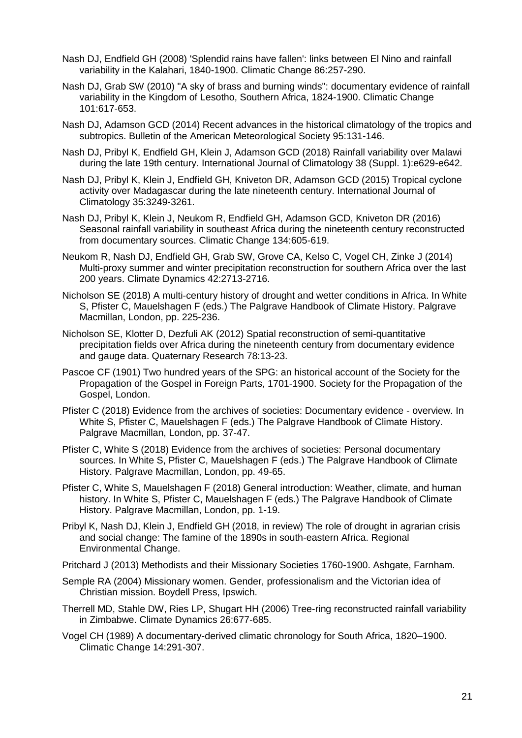- Nash DJ, Endfield GH (2008) 'Splendid rains have fallen': links between El Nino and rainfall variability in the Kalahari, 1840-1900. Climatic Change 86:257-290.
- Nash DJ, Grab SW (2010) "A sky of brass and burning winds": documentary evidence of rainfall variability in the Kingdom of Lesotho, Southern Africa, 1824-1900. Climatic Change 101:617-653.
- Nash DJ, Adamson GCD (2014) Recent advances in the historical climatology of the tropics and subtropics. Bulletin of the American Meteorological Society 95:131-146.
- Nash DJ, Pribyl K, Endfield GH, Klein J, Adamson GCD (2018) Rainfall variability over Malawi during the late 19th century. International Journal of Climatology 38 (Suppl. 1):e629-e642.
- Nash DJ, Pribyl K, Klein J, Endfield GH, Kniveton DR, Adamson GCD (2015) Tropical cyclone activity over Madagascar during the late nineteenth century. International Journal of Climatology 35:3249-3261.
- Nash DJ, Pribyl K, Klein J, Neukom R, Endfield GH, Adamson GCD, Kniveton DR (2016) Seasonal rainfall variability in southeast Africa during the nineteenth century reconstructed from documentary sources. Climatic Change 134:605-619.
- Neukom R, Nash DJ, Endfield GH, Grab SW, Grove CA, Kelso C, Vogel CH, Zinke J (2014) Multi-proxy summer and winter precipitation reconstruction for southern Africa over the last 200 years. Climate Dynamics 42:2713-2716.
- Nicholson SE (2018) A multi-century history of drought and wetter conditions in Africa. In White S, Pfister C, Mauelshagen F (eds.) The Palgrave Handbook of Climate History. Palgrave Macmillan, London, pp. 225-236.
- Nicholson SE, Klotter D, Dezfuli AK (2012) Spatial reconstruction of semi-quantitative precipitation fields over Africa during the nineteenth century from documentary evidence and gauge data. Quaternary Research 78:13-23.
- Pascoe CF (1901) Two hundred years of the SPG: an historical account of the Society for the Propagation of the Gospel in Foreign Parts, 1701-1900. Society for the Propagation of the Gospel, London.
- Pfister C (2018) Evidence from the archives of societies: Documentary evidence overview. In White S, Pfister C, Mauelshagen F (eds.) The Palgrave Handbook of Climate History. Palgrave Macmillan, London, pp. 37-47.
- Pfister C, White S (2018) Evidence from the archives of societies: Personal documentary sources. In White S, Pfister C, Mauelshagen F (eds.) The Palgrave Handbook of Climate History. Palgrave Macmillan, London, pp. 49-65.
- Pfister C, White S, Mauelshagen F (2018) General introduction: Weather, climate, and human history. In White S, Pfister C, Mauelshagen F (eds.) The Palgrave Handbook of Climate History. Palgrave Macmillan, London, pp. 1-19.
- Pribyl K, Nash DJ, Klein J, Endfield GH (2018, in review) The role of drought in agrarian crisis and social change: The famine of the 1890s in south-eastern Africa. Regional Environmental Change.
- Pritchard J (2013) Methodists and their Missionary Societies 1760-1900. Ashgate, Farnham.
- Semple RA (2004) Missionary women. Gender, professionalism and the Victorian idea of Christian mission. Boydell Press, Ipswich.
- Therrell MD, Stahle DW, Ries LP, Shugart HH (2006) Tree-ring reconstructed rainfall variability in Zimbabwe. Climate Dynamics 26:677-685.
- Vogel CH (1989) A documentary-derived climatic chronology for South Africa, 1820–1900. Climatic Change 14:291-307.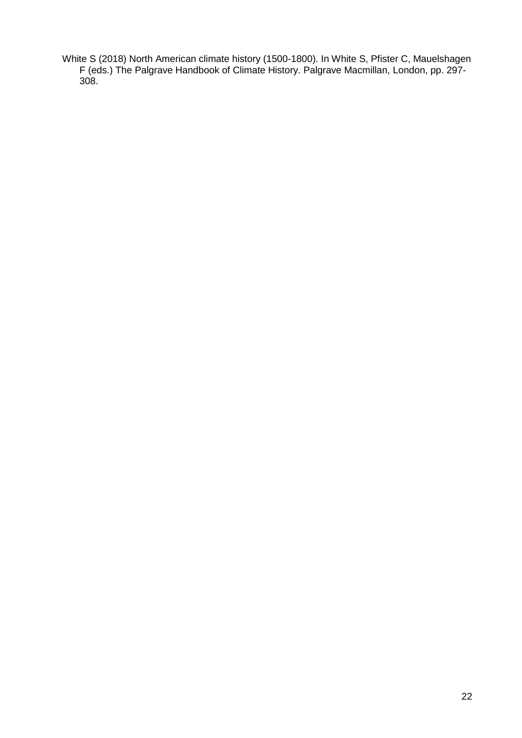White S (2018) North American climate history (1500-1800). In White S, Pfister C, Mauelshagen F (eds.) The Palgrave Handbook of Climate History. Palgrave Macmillan, London, pp. 297- 308.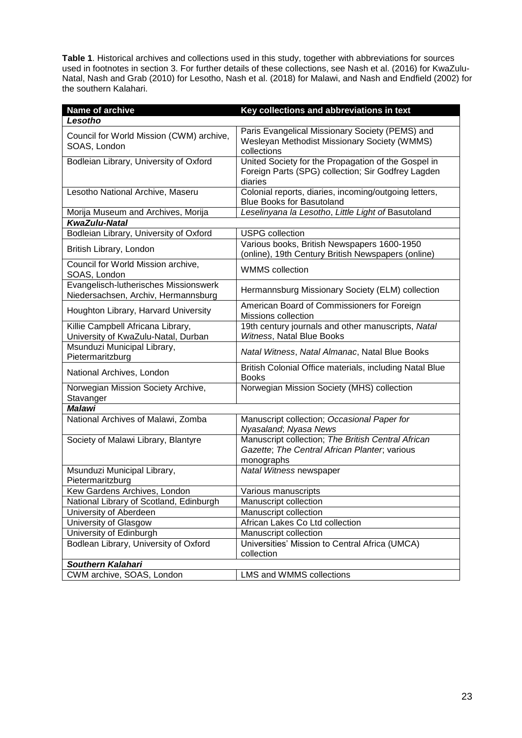**Table 1**. Historical archives and collections used in this study, together with abbreviations for sources used in footnotes in section 3. For further details of these collections, see Nash et al. (2016) for KwaZulu-Natal, Nash and Grab (2010) for Lesotho, Nash et al. (2018) for Malawi, and Nash and Endfield (2002) for the southern Kalahari.

| Name of archive                                                              | Key collections and abbreviations in text                                                                            |  |
|------------------------------------------------------------------------------|----------------------------------------------------------------------------------------------------------------------|--|
| Lesotho                                                                      |                                                                                                                      |  |
| Council for World Mission (CWM) archive,<br>SOAS, London                     | Paris Evangelical Missionary Society (PEMS) and<br>Wesleyan Methodist Missionary Society (WMMS)<br>collections       |  |
| Bodleian Library, University of Oxford                                       | United Society for the Propagation of the Gospel in<br>Foreign Parts (SPG) collection; Sir Godfrey Lagden<br>diaries |  |
| Lesotho National Archive, Maseru                                             | Colonial reports, diaries, incoming/outgoing letters,<br><b>Blue Books for Basutoland</b>                            |  |
| Morija Museum and Archives, Morija                                           | Leselinyana la Lesotho, Little Light of Basutoland                                                                   |  |
| <b>KwaZulu-Natal</b>                                                         |                                                                                                                      |  |
| Bodleian Library, University of Oxford                                       | <b>USPG</b> collection                                                                                               |  |
| British Library, London                                                      | Various books, British Newspapers 1600-1950<br>(online), 19th Century British Newspapers (online)                    |  |
| Council for World Mission archive,<br>SOAS, London                           | <b>WMMS</b> collection                                                                                               |  |
| Evangelisch-lutherisches Missionswerk<br>Niedersachsen, Archiv, Hermannsburg | Hermannsburg Missionary Society (ELM) collection                                                                     |  |
| Houghton Library, Harvard University                                         | American Board of Commissioners for Foreign<br>Missions collection                                                   |  |
| Killie Campbell Africana Library,<br>University of KwaZulu-Natal, Durban     | 19th century journals and other manuscripts, Natal<br>Witness, Natal Blue Books                                      |  |
| Msunduzi Municipal Library,<br>Pietermaritzburg                              | Natal Witness, Natal Almanac, Natal Blue Books                                                                       |  |
| National Archives, London                                                    | British Colonial Office materials, including Natal Blue<br><b>Books</b>                                              |  |
| Norwegian Mission Society Archive,<br>Stavanger                              | Norwegian Mission Society (MHS) collection                                                                           |  |
| <b>Malawi</b>                                                                |                                                                                                                      |  |
| National Archives of Malawi, Zomba                                           | Manuscript collection; Occasional Paper for<br>Nyasaland; Nyasa News                                                 |  |
| Society of Malawi Library, Blantyre                                          | Manuscript collection; The British Central African<br>Gazette; The Central African Planter; various<br>monographs    |  |
| Msunduzi Municipal Library,<br>Pietermaritzburg                              | Natal Witness newspaper                                                                                              |  |
| Kew Gardens Archives, London                                                 | Various manuscripts                                                                                                  |  |
| National Library of Scotland, Edinburgh                                      | Manuscript collection                                                                                                |  |
| University of Aberdeen                                                       | Manuscript collection                                                                                                |  |
| <b>University of Glasgow</b>                                                 | African Lakes Co Ltd collection                                                                                      |  |
| University of Edinburgh                                                      | Manuscript collection                                                                                                |  |
| Bodlean Library, University of Oxford                                        | Universities' Mission to Central Africa (UMCA)<br>collection                                                         |  |
| <b>Southern Kalahari</b>                                                     |                                                                                                                      |  |
| CWM archive, SOAS, London                                                    | LMS and WMMS collections                                                                                             |  |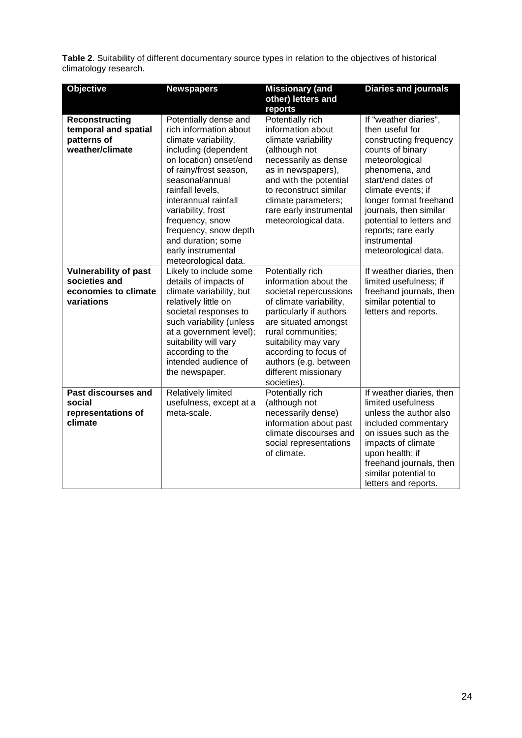**Table 2**. Suitability of different documentary source types in relation to the objectives of historical climatology research.

| <b>Objective</b>                                                                    | <b>Newspapers</b>                                                                                                                                                                                                                                                                                                                                        | <b>Missionary (and</b>                                                                                                                                                                                                                                                                   | <b>Diaries and journals</b>                                                                                                                                                                                                                                                                                           |
|-------------------------------------------------------------------------------------|----------------------------------------------------------------------------------------------------------------------------------------------------------------------------------------------------------------------------------------------------------------------------------------------------------------------------------------------------------|------------------------------------------------------------------------------------------------------------------------------------------------------------------------------------------------------------------------------------------------------------------------------------------|-----------------------------------------------------------------------------------------------------------------------------------------------------------------------------------------------------------------------------------------------------------------------------------------------------------------------|
|                                                                                     |                                                                                                                                                                                                                                                                                                                                                          | other) letters and<br>reports                                                                                                                                                                                                                                                            |                                                                                                                                                                                                                                                                                                                       |
| Reconstructing<br>temporal and spatial<br>patterns of<br>weather/climate            | Potentially dense and<br>rich information about<br>climate variability,<br>including (dependent<br>on location) onset/end<br>of rainy/frost season,<br>seasonal/annual<br>rainfall levels,<br>interannual rainfall<br>variability, frost<br>frequency, snow<br>frequency, snow depth<br>and duration; some<br>early instrumental<br>meteorological data. | Potentially rich<br>information about<br>climate variability<br>(although not<br>necessarily as dense<br>as in newspapers),<br>and with the potential<br>to reconstruct similar<br>climate parameters;<br>rare early instrumental<br>meteorological data.                                | If "weather diaries",<br>then useful for<br>constructing frequency<br>counts of binary<br>meteorological<br>phenomena, and<br>start/end dates of<br>climate events; if<br>longer format freehand<br>journals, then similar<br>potential to letters and<br>reports; rare early<br>instrumental<br>meteorological data. |
| <b>Vulnerability of past</b><br>societies and<br>economies to climate<br>variations | Likely to include some<br>details of impacts of<br>climate variability, but<br>relatively little on<br>societal responses to<br>such variability (unless<br>at a government level);<br>suitability will vary<br>according to the<br>intended audience of<br>the newspaper.                                                                               | Potentially rich<br>information about the<br>societal repercussions<br>of climate variability,<br>particularly if authors<br>are situated amongst<br>rural communities;<br>suitability may vary<br>according to focus of<br>authors (e.g. between<br>different missionary<br>societies). | If weather diaries, then<br>limited usefulness; if<br>freehand journals, then<br>similar potential to<br>letters and reports.                                                                                                                                                                                         |
| Past discourses and<br>social<br>representations of<br>climate                      | Relatively limited<br>usefulness, except at a<br>meta-scale.                                                                                                                                                                                                                                                                                             | Potentially rich<br>(although not<br>necessarily dense)<br>information about past<br>climate discourses and<br>social representations<br>of climate.                                                                                                                                     | If weather diaries, then<br>limited usefulness<br>unless the author also<br>included commentary<br>on issues such as the<br>impacts of climate<br>upon health; if<br>freehand journals, then<br>similar potential to<br>letters and reports.                                                                          |